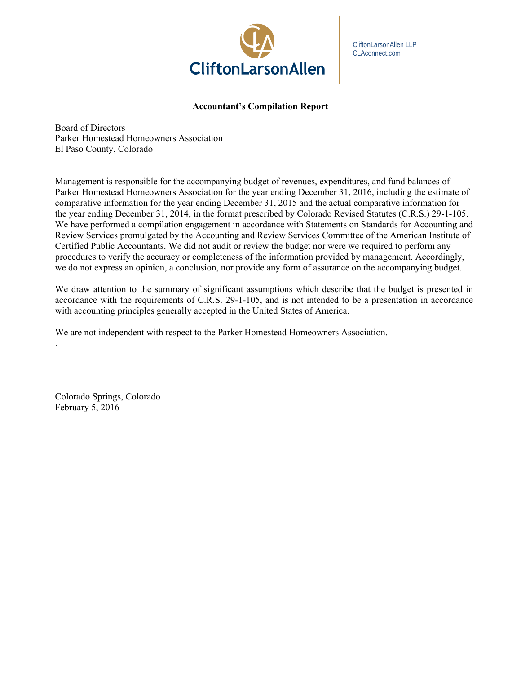

CliftonLarsonAllen LLP CLAconnect.com

# **Accountant's Compilation Report**

Board of Directors Parker Homestead Homeowners Association El Paso County, Colorado

Management is responsible for the accompanying budget of revenues, expenditures, and fund balances of Parker Homestead Homeowners Association for the year ending December 31, 2016, including the estimate of comparative information for the year ending December 31, 2015 and the actual comparative information for the year ending December 31, 2014, in the format prescribed by Colorado Revised Statutes (C.R.S.) 29-1-105. We have performed a compilation engagement in accordance with Statements on Standards for Accounting and Review Services promulgated by the Accounting and Review Services Committee of the American Institute of Certified Public Accountants. We did not audit or review the budget nor were we required to perform any procedures to verify the accuracy or completeness of the information provided by management. Accordingly, we do not express an opinion, a conclusion, nor provide any form of assurance on the accompanying budget.

We draw attention to the summary of significant assumptions which describe that the budget is presented in accordance with the requirements of C.R.S. 29-1-105, and is not intended to be a presentation in accordance with accounting principles generally accepted in the United States of America.

We are not independent with respect to the Parker Homestead Homeowners Association.

Colorado Springs, Colorado February 5, 2016

.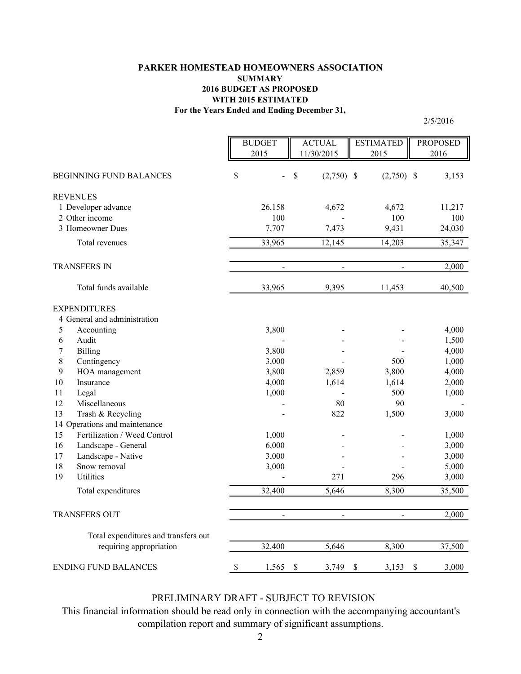# **For the Years Ended and Ending December 31, PARKER HOMESTEAD HOMEOWNERS ASSOCIATION SUMMARY 2016 BUDGET AS PROPOSED WITH 2015 ESTIMATED**

2/5/2016

|                  |                                      | <b>BUDGET</b><br>2015 | <b>ACTUAL</b><br>11/30/2015 | <b>ESTIMATED</b><br>2015 | <b>PROPOSED</b><br>2016 |
|------------------|--------------------------------------|-----------------------|-----------------------------|--------------------------|-------------------------|
|                  | <b>BEGINNING FUND BALANCES</b>       | \$                    | \$<br>$(2,750)$ \$          | $(2,750)$ \$             | 3,153                   |
| <b>REVENUES</b>  |                                      |                       |                             |                          |                         |
|                  | 1 Developer advance                  | 26,158                | 4,672                       | 4,672                    | 11,217                  |
|                  | 2 Other income                       | 100                   |                             | 100                      | 100                     |
|                  | 3 Homeowner Dues                     | 7,707                 | 7,473                       | 9,431                    | 24,030                  |
|                  | Total revenues                       | 33,965                | 12,145                      | 14,203                   | 35,347                  |
|                  | TRANSFERS IN                         | $\blacksquare$        | $\overline{a}$              | $\bar{\phantom{a}}$      | 2,000                   |
|                  | Total funds available                | 33,965                | 9,395                       | 11,453                   | 40,500                  |
|                  | <b>EXPENDITURES</b>                  |                       |                             |                          |                         |
|                  | 4 General and administration         |                       |                             |                          |                         |
| 5                | Accounting                           | 3,800                 |                             |                          | 4,000                   |
| 6                | Audit                                |                       |                             |                          | 1,500                   |
| $\boldsymbol{7}$ | <b>Billing</b>                       | 3,800                 |                             |                          | 4,000                   |
| 8                | Contingency                          | 3,000                 |                             | 500                      | 1,000                   |
| 9                | HOA management                       | 3,800                 | 2,859                       | 3,800                    | 4,000                   |
| 10               | Insurance                            | 4,000                 | 1,614                       | 1,614                    | 2,000                   |
| 11               | Legal                                | 1,000                 |                             | 500                      | 1,000                   |
| 12               | Miscellaneous                        |                       | 80                          | 90                       |                         |
| 13               | Trash & Recycling                    |                       | 822                         | 1,500                    | 3,000                   |
|                  | 14 Operations and maintenance        |                       |                             |                          |                         |
| 15               | Fertilization / Weed Control         | 1,000                 |                             |                          | 1,000                   |
| 16               | Landscape - General                  | 6,000                 |                             |                          | 3,000                   |
| 17               | Landscape - Native                   | 3,000                 |                             |                          | 3,000                   |
| 18               | Snow removal                         | 3,000                 |                             |                          | 5,000                   |
| 19               | Utilities                            |                       | 271                         | 296                      | 3,000                   |
|                  | Total expenditures                   | 32,400                | 5,646                       | 8,300                    | 35,500                  |
|                  | <b>TRANSFERS OUT</b>                 | $\overline{a}$        | $\overline{a}$              | $\overline{a}$           | 2,000                   |
|                  | Total expenditures and transfers out |                       |                             |                          |                         |
|                  | requiring appropriation              | 32,400                | 5,646                       | 8,300                    | 37,500                  |
|                  | <b>ENDING FUND BALANCES</b>          | \$<br>1,565           | \$<br>3,749                 | \$<br>3,153              | $\mathcal{S}$<br>3,000  |

# PRELIMINARY DRAFT - SUBJECT TO REVISION

This financial information should be read only in connection with the accompanying accountant's compilation report and summary of significant assumptions.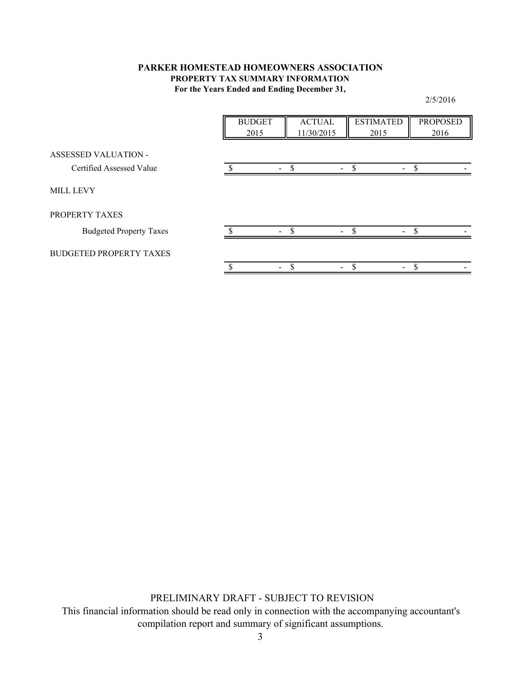# **For the Years Ended and Ending December 31, PARKER HOMESTEAD HOMEOWNERS ASSOCIATION PROPERTY TAX SUMMARY INFORMATION**

BUDGET ACTUAL ESTIMATED PROPOSED 2015 | 11/30/2015 | 2015 | 2016 ASSESSED VALUATION - Certified Assessed Value  $\overline{\text{S}}$  - \$ - \$  $\overline{\text{S}}$ MILL LEVY PROPERTY TAXES Budgeted Property Taxes - \$ - \$ - \$ - \$ BUDGETED PROPERTY TAXES \$ - - \$ - \$ - \$

PRELIMINARY DRAFT - SUBJECT TO REVISION

This financial information should be read only in connection with the accompanying accountant's compilation report and summary of significant assumptions.

2/5/2016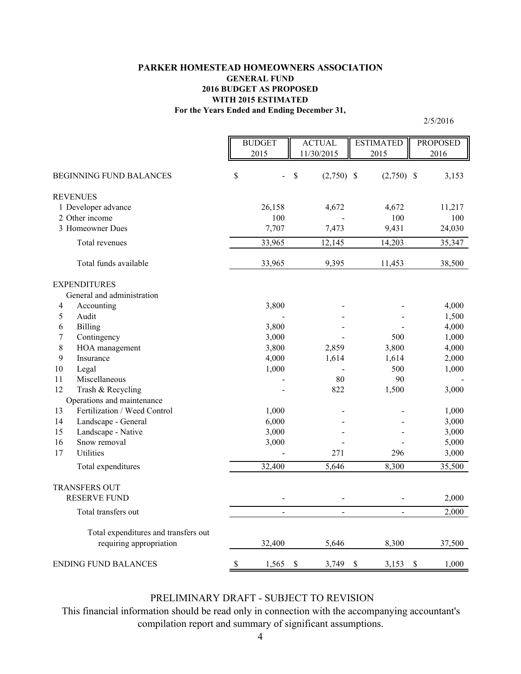# **For the Years Ended and Ending December 31, PARKER HOMESTEAD HOMEOWNERS ASSOCIATION GENERAL FUND 2016 BUDGET AS PROPOSED WITH 2015 ESTIMATED**

2/5/2016

|    |                                      | <b>BUDGET</b><br>2015 | <b>ACTUAL</b><br>11/30/2015 | <b>ESTIMATED</b><br>2015 | <b>PROPOSED</b><br>2016 |
|----|--------------------------------------|-----------------------|-----------------------------|--------------------------|-------------------------|
|    | <b>BEGINNING FUND BALANCES</b>       | \$                    | \$<br>$(2,750)$ \$          | $(2,750)$ \$             | 3,153                   |
|    | <b>REVENUES</b>                      |                       |                             |                          |                         |
|    | 1 Developer advance                  | 26,158                | 4,672                       | 4,672                    | 11,217                  |
|    | 2 Other income                       | 100                   |                             | 100                      | 100                     |
|    | 3 Homeowner Dues                     | 7,707                 | 7,473                       | 9,431                    | 24,030                  |
|    | Total revenues                       | 33,965                | 12,145                      | 14,203                   | 35,347                  |
|    | Total funds available                | 33,965                | 9,395                       | 11,453                   | 38,500                  |
|    | <b>EXPENDITURES</b>                  |                       |                             |                          |                         |
|    | General and administration           |                       |                             |                          |                         |
| 4  | Accounting                           | 3,800                 |                             |                          | 4,000                   |
| 5  | Audit                                |                       |                             |                          | 1,500                   |
| 6  | <b>Billing</b>                       | 3,800                 |                             |                          | 4,000                   |
| 7  | Contingency                          | 3,000                 |                             | 500                      | 1,000                   |
| 8  | HOA management                       | 3,800                 | 2,859                       | 3,800                    | 4,000                   |
| 9  | Insurance                            | 4,000                 | 1,614                       | 1,614                    | 2,000                   |
| 10 | Legal                                | 1,000                 | $\overline{a}$              | 500                      | 1,000                   |
| 11 | Miscellaneous                        |                       | 80                          | 90                       |                         |
| 12 | Trash & Recycling                    |                       | 822                         | 1,500                    | 3,000                   |
|    | Operations and maintenance           |                       |                             |                          |                         |
| 13 | Fertilization / Weed Control         | 1,000                 |                             |                          | 1,000                   |
| 14 | Landscape - General                  | 6,000                 |                             |                          | 3,000                   |
| 15 | Landscape - Native                   | 3,000                 |                             |                          | 3,000                   |
| 16 | Snow removal                         | 3,000                 |                             |                          | 5,000                   |
| 17 | Utilities                            |                       | 271                         | 296                      | 3,000                   |
|    | Total expenditures                   | 32,400                | 5,646                       | 8,300                    | 35,500                  |
|    | <b>TRANSFERS OUT</b>                 |                       |                             |                          |                         |
|    | <b>RESERVE FUND</b>                  |                       |                             |                          | 2,000                   |
|    | Total transfers out                  |                       | $\overline{a}$              |                          | 2,000                   |
|    | Total expenditures and transfers out |                       |                             |                          |                         |
|    | requiring appropriation              | 32,400                | 5,646                       | 8,300                    | 37,500                  |
|    | <b>ENDING FUND BALANCES</b>          | \$<br>1,565           | \$<br>3,749                 | \$<br>3,153              | \$<br>1,000             |

# PRELIMINARY DRAFT - SUBJECT TO REVISION

This financial information should be read only in connection with the accompanying accountant's compilation report and summary of significant assumptions.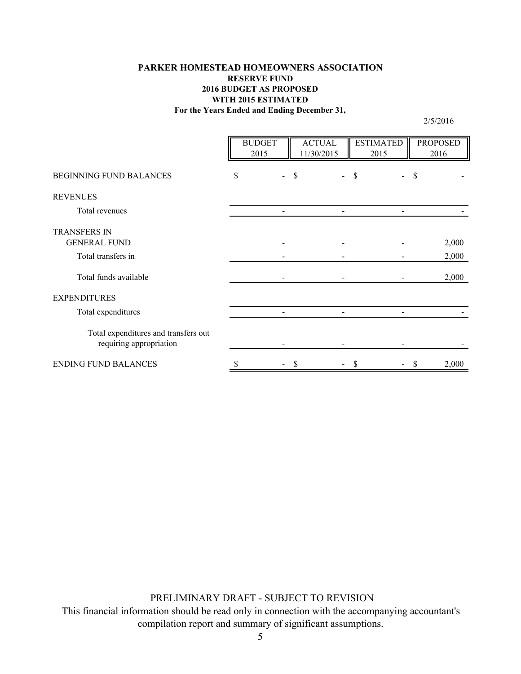# **For the Years Ended and Ending December 31, PARKER HOMESTEAD HOMEOWNERS ASSOCIATION RESERVE FUND 2016 BUDGET AS PROPOSED WITH 2015 ESTIMATED**

2/5/2016

|                                                                 | <b>BUDGET</b><br>2015 | <b>ACTUAL</b><br>11/30/2015 | <b>ESTIMATED</b><br>2015 | <b>PROPOSED</b><br>2016 |
|-----------------------------------------------------------------|-----------------------|-----------------------------|--------------------------|-------------------------|
| BEGINNING FUND BALANCES                                         | \$<br>$\overline{a}$  | \$                          | \$                       | S                       |
| <b>REVENUES</b>                                                 |                       |                             |                          |                         |
| Total revenues                                                  |                       |                             |                          |                         |
| <b>TRANSFERS IN</b><br><b>GENERAL FUND</b>                      |                       |                             |                          | 2,000                   |
| Total transfers in                                              |                       |                             |                          | 2,000                   |
| Total funds available                                           |                       |                             |                          | 2,000                   |
| <b>EXPENDITURES</b>                                             |                       |                             |                          |                         |
| Total expenditures                                              |                       |                             |                          |                         |
| Total expenditures and transfers out<br>requiring appropriation |                       |                             |                          |                         |
| <b>ENDING FUND BALANCES</b>                                     |                       |                             |                          | 2,000                   |

PRELIMINARY DRAFT - SUBJECT TO REVISION

This financial information should be read only in connection with the accompanying accountant's compilation report and summary of significant assumptions.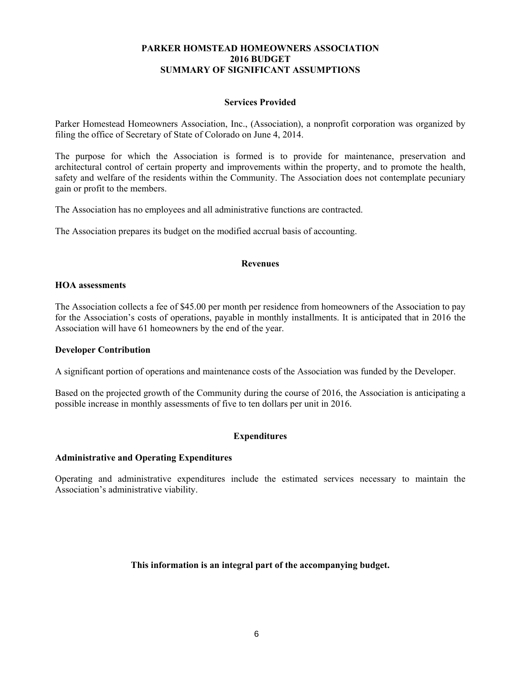# **PARKER HOMSTEAD HOMEOWNERS ASSOCIATION 2016 BUDGET SUMMARY OF SIGNIFICANT ASSUMPTIONS**

### **Services Provided**

Parker Homestead Homeowners Association, Inc., (Association), a nonprofit corporation was organized by filing the office of Secretary of State of Colorado on June 4, 2014.

The purpose for which the Association is formed is to provide for maintenance, preservation and architectural control of certain property and improvements within the property, and to promote the health, safety and welfare of the residents within the Community. The Association does not contemplate pecuniary gain or profit to the members.

The Association has no employees and all administrative functions are contracted.

The Association prepares its budget on the modified accrual basis of accounting.

#### **Revenues**

### **HOA assessments**

The Association collects a fee of \$45.00 per month per residence from homeowners of the Association to pay for the Association's costs of operations, payable in monthly installments. It is anticipated that in 2016 the Association will have 61 homeowners by the end of the year.

#### **Developer Contribution**

A significant portion of operations and maintenance costs of the Association was funded by the Developer.

Based on the projected growth of the Community during the course of 2016, the Association is anticipating a possible increase in monthly assessments of five to ten dollars per unit in 2016.

# **Expenditures**

#### **Administrative and Operating Expenditures**

Operating and administrative expenditures include the estimated services necessary to maintain the Association's administrative viability.

# **This information is an integral part of the accompanying budget.**